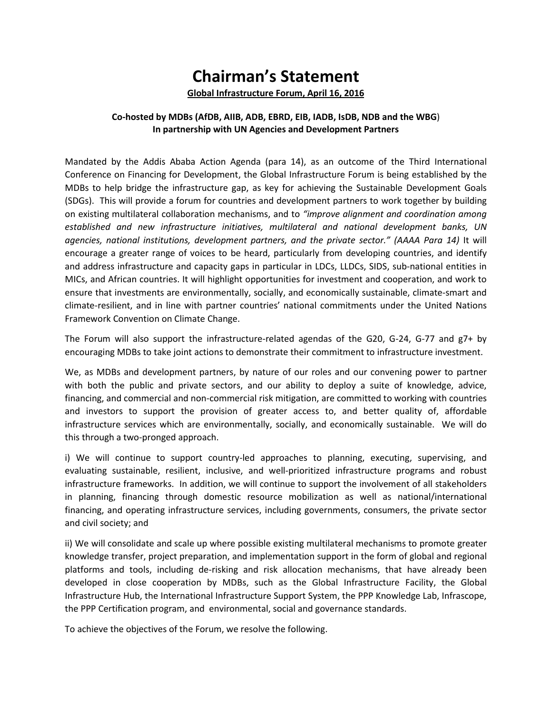# **Chairman's Statement**

**Global Infrastructure Forum, April 16, 2016**

# **Co-hosted by MDBs (AfDB, AIIB, ADB, EBRD, EIB, IADB, IsDB, NDB and the WBG**) **In partnership with UN Agencies and Development Partners**

Mandated by the Addis Ababa Action Agenda (para 14), as an outcome of the Third International Conference on Financing for Development, the Global Infrastructure Forum is being established by the MDBs to help bridge the infrastructure gap, as key for achieving the Sustainable Development Goals (SDGs). This will provide a forum for countries and development partners to work together by building on existing multilateral collaboration mechanisms, and to *"improve alignment and coordination among established and new infrastructure initiatives, multilateral and national development banks, UN agencies, national institutions, development partners, and the private sector." (AAAA Para 14)* It will encourage a greater range of voices to be heard, particularly from developing countries, and identify and address infrastructure and capacity gaps in particular in LDCs, LLDCs, SIDS, sub-national entities in MICs, and African countries. It will highlight opportunities for investment and cooperation, and work to ensure that investments are environmentally, socially, and economically sustainable, climate-smart and climate-resilient, and in line with partner countries' national commitments under the United Nations Framework Convention on Climate Change.

The Forum will also support the infrastructure-related agendas of the G20, G-24, G-77 and g7+ by encouraging MDBs to take joint actions to demonstrate their commitment to infrastructure investment.

We, as MDBs and development partners, by nature of our roles and our convening power to partner with both the public and private sectors, and our ability to deploy a suite of knowledge, advice, financing, and commercial and non-commercial risk mitigation, are committed to working with countries and investors to support the provision of greater access to, and better quality of, affordable infrastructure services which are environmentally, socially, and economically sustainable. We will do this through a two-pronged approach.

i) We will continue to support country-led approaches to planning, executing, supervising, and evaluating sustainable, resilient, inclusive, and well-prioritized infrastructure programs and robust infrastructure frameworks. In addition, we will continue to support the involvement of all stakeholders in planning, financing through domestic resource mobilization as well as national/international financing, and operating infrastructure services, including governments, consumers, the private sector and civil society; and

ii) We will consolidate and scale up where possible existing multilateral mechanisms to promote greater knowledge transfer, project preparation, and implementation support in the form of global and regional platforms and tools, including de-risking and risk allocation mechanisms, that have already been developed in close cooperation by MDBs, such as the Global Infrastructure Facility, the Global Infrastructure Hub, the International Infrastructure Support System, the PPP Knowledge Lab, Infrascope, the PPP Certification program, and environmental, social and governance standards.

To achieve the objectives of the Forum, we resolve the following.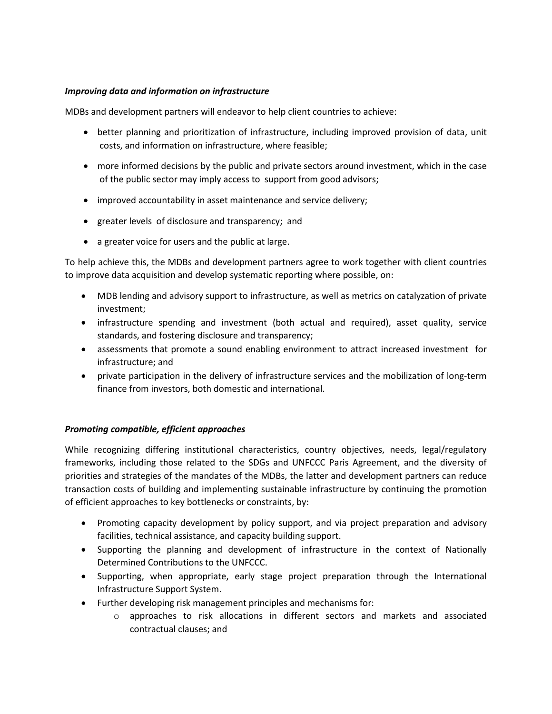# *Improving data and information on infrastructure*

MDBs and development partners will endeavor to help client countries to achieve:

- better planning and prioritization of infrastructure, including improved provision of data, unit costs, and information on infrastructure, where feasible;
- more informed decisions by the public and private sectors around investment, which in the case of the public sector may imply access to support from good advisors;
- improved accountability in asset maintenance and service delivery;
- greater levels of disclosure and transparency; and
- a greater voice for users and the public at large.

To help achieve this, the MDBs and development partners agree to work together with client countries to improve data acquisition and develop systematic reporting where possible, on:

- MDB lending and advisory support to infrastructure, as well as metrics on catalyzation of private investment;
- infrastructure spending and investment (both actual and required), asset quality, service standards, and fostering disclosure and transparency;
- assessments that promote a sound enabling environment to attract increased investment for infrastructure; and
- private participation in the delivery of infrastructure services and the mobilization of long-term finance from investors, both domestic and international.

# *Promoting compatible, efficient approaches*

While recognizing differing institutional characteristics, country objectives, needs, legal/regulatory frameworks, including those related to the SDGs and UNFCCC Paris Agreement, and the diversity of priorities and strategies of the mandates of the MDBs, the latter and development partners can reduce transaction costs of building and implementing sustainable infrastructure by continuing the promotion of efficient approaches to key bottlenecks or constraints, by:

- Promoting capacity development by policy support, and via project preparation and advisory facilities, technical assistance, and capacity building support.
- Supporting the planning and development of infrastructure in the context of Nationally Determined Contributions to the UNFCCC.
- Supporting, when appropriate, early stage project preparation through the International Infrastructure Support System.
- Further developing risk management principles and mechanisms for:
	- o approaches to risk allocations in different sectors and markets and associated contractual clauses; and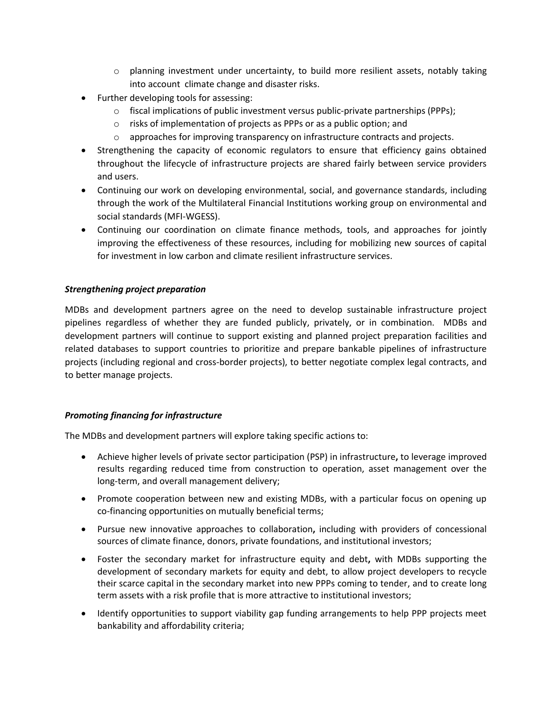- $\circ$  planning investment under uncertainty, to build more resilient assets, notably taking into account climate change and disaster risks.
- Further developing tools for assessing:
	- $\circ$  fiscal implications of public investment versus public-private partnerships (PPPs);
	- o risks of implementation of projects as PPPs or as a public option; and
	- $\circ$  approaches for improving transparency on infrastructure contracts and projects.
- Strengthening the capacity of economic regulators to ensure that efficiency gains obtained throughout the lifecycle of infrastructure projects are shared fairly between service providers and users.
- Continuing our work on developing environmental, social, and governance standards, including through the work of the Multilateral Financial Institutions working group on environmental and social standards (MFI-WGESS).
- Continuing our coordination on climate finance methods, tools, and approaches for jointly improving the effectiveness of these resources, including for mobilizing new sources of capital for investment in low carbon and climate resilient infrastructure services.

# *Strengthening project preparation*

MDBs and development partners agree on the need to develop sustainable infrastructure project pipelines regardless of whether they are funded publicly, privately, or in combination. MDBs and development partners will continue to support existing and planned project preparation facilities and related databases to support countries to prioritize and prepare bankable pipelines of infrastructure projects (including regional and cross-border projects), to better negotiate complex legal contracts, and to better manage projects.

### *Promoting financing for infrastructure*

The MDBs and development partners will explore taking specific actions to:

- Achieve higher levels of private sector participation (PSP) in infrastructure**,** to leverage improved results regarding reduced time from construction to operation, asset management over the long-term, and overall management delivery;
- Promote cooperation between new and existing MDBs, with a particular focus on opening up co-financing opportunities on mutually beneficial terms;
- Pursue new innovative approaches to collaboration**,** including with providers of concessional sources of climate finance, donors, private foundations, and institutional investors;
- Foster the secondary market for infrastructure equity and debt**,** with MDBs supporting the development of secondary markets for equity and debt, to allow project developers to recycle their scarce capital in the secondary market into new PPPs coming to tender, and to create long term assets with a risk profile that is more attractive to institutional investors;
- Identify opportunities to support viability gap funding arrangements to help PPP projects meet bankability and affordability criteria;